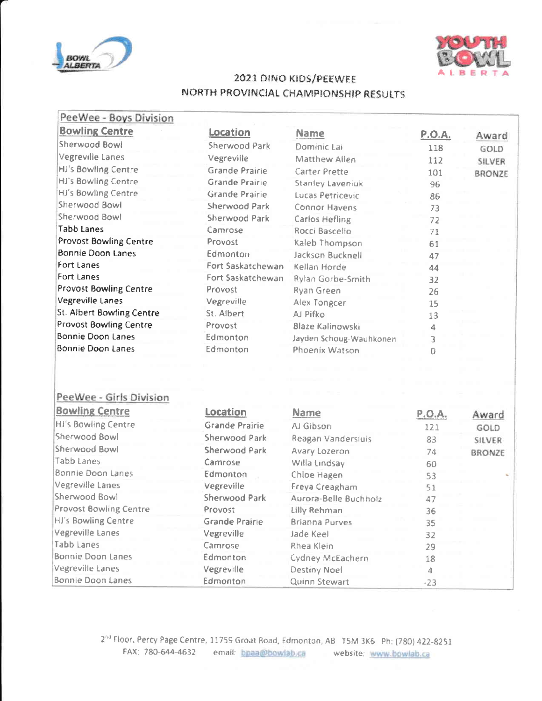



## 2021 DINO KIDS/PEEWEE NORTH PROVINCIAL CHAMPIONSHIP RESULTS

| PeeWee - Boys Division           |                       |                         |               |               |
|----------------------------------|-----------------------|-------------------------|---------------|---------------|
| <b>Bowling Centre</b>            | Location              | <b>Name</b>             | <b>P.O.A.</b> | Award         |
| Sherwood Bowl                    | Sherwood Park         | Dominic Lai             | 118           | GOLD          |
| <b>Vegreville Lanes</b>          | Vegreville            | Matthew Allen           | 112           | SILVER        |
| HJ's Bowling Centre              | <b>Grande Prairie</b> | Carter Prette           | 101           | <b>BRONZE</b> |
| <b>HJ's Bowling Centre</b>       | <b>Grande Prairie</b> | <b>Stanley Laveniuk</b> | 96            |               |
| HJ's Bowling Centre              | Grande Prairie        | Lucas Petricevic        | 86            |               |
| Sherwood Bowl                    | <b>Sherwood Park</b>  | Connor Havens           | 73            |               |
| Sherwood Bowl                    | Sherwood Park         | <b>Carlos Hefling</b>   | 72            |               |
| <b>Tabb Lanes</b>                | Camrose               | Rocci Bascello          | 71            |               |
| <b>Provost Bowling Centre</b>    | Provost.              | Kaleb Thompson          | 61            |               |
| <b>Bonnie Doon Lanes</b>         | Edmonton              | Jackson Bucknell        | 47            |               |
| Fort Lanes                       | Fort Saskatchewan     | Kellan Horde            | 44            |               |
| Fort Lanes                       | Fort Saskatchewan     | Rylan Gorbe-Smith       | 32            |               |
| <b>Provost Bowling Centre</b>    | Provost               | Ryan Green              | 26            |               |
| <b>Vegreville Lanes</b>          | Vegreville            | Alex Tongcer            | 15            |               |
| <b>St. Albert Bowling Centre</b> | St. Albert            | AJ Pifko                | 13            |               |
| <b>Provost Bowling Centre</b>    | Provost               | Blaze Kalinowski        | 4             |               |
| <b>Bonnie Doon Lanes</b>         | Edmonton              | Jayden Schoug-Wauhkonen | 3             |               |
| <b>Bonnie Doon Lanes</b>         | Edmonton              | Phoenix Watson          | Ō             |               |
|                                  |                       |                         |               |               |
| PeeWee - Girls Division          |                       |                         |               |               |
| <b>Bowling Centre</b>            | Location              | <b>Name</b>             | <b>P.O.A.</b> | Award         |
| <b>HJ's Bowling Centre</b>       | <b>Grande Prairie</b> | AJ Gibson               | 121           | GOLD          |
| Sherwood Bowl                    | <b>Sherwood Park</b>  | Reagan Vandersluis      | 83            | SILVER        |
| <b>Sherwood Bowl</b>             | Sherwood Park         | Avary Lozeron           | 74            | <b>BRONZE</b> |
| Tabb Lanes                       | Camrose               | Willa Lindsay           | 60            |               |
| <b>Bonnie Doon Lanes</b>         | Edmonton              | Chloe Hagen             | 53            |               |
| Vegreville Lanes                 | Vegreville            | Freya Creagham          | 51            |               |
| Sherwood Bowl                    | Sherwood Park         | Aurora-Belle Buchholz   | 47            |               |
| <b>Provost Bowling Centre</b>    | Provost               | Lilly Rehman            | 36            |               |
| HJ's Bowling Centre              | <b>Grande Prairie</b> | <b>Brianna Purves</b>   | 35            |               |
| Vegreville Lanes                 | Vegreville            | Jade Keel               | 32            |               |
| <b>Tabb Lanes</b>                | Camrose               | Rhea Klein              | 29            |               |
| <b>Bonnie Doon Lanes</b>         | Edmonton              | Cydney McEachern        | 18            |               |
| Vegreville Lanes                 | Vegreville            | Destiny Noel            | 4.            |               |
| Bonnie Doon Lanes                | Edmonton              | Quinn Stewart           | $-23$         |               |